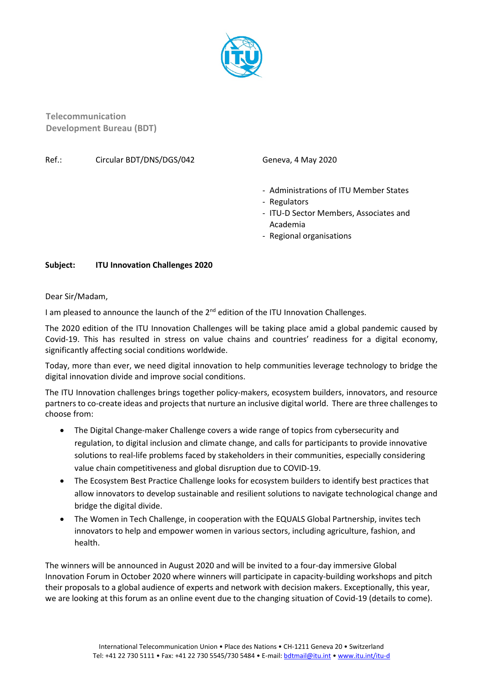

**Telecommunication Development Bureau (BDT)**

## Ref.: Circular BDT/DNS/DGS/042 Geneva, 4 May 2020

- Administrations of ITU Member States
- Regulators
- ITU-D Sector Members, Associates and Academia
- Regional organisations

## **Subject: ITU Innovation Challenges 2020**

Dear Sir/Madam,

I am pleased to announce the launch of the  $2<sup>nd</sup>$  edition of the ITU Innovation Challenges.

The 2020 edition of the ITU Innovation Challenges will be taking place amid a global pandemic caused by Covid-19. This has resulted in stress on value chains and countries' readiness for a digital economy, significantly affecting social conditions worldwide.

Today, more than ever, we need digital innovation to help communities leverage technology to bridge the digital innovation divide and improve social conditions.

The ITU Innovation challenges brings together policy-makers, ecosystem builders, innovators, and resource partners to co-create ideas and projects that nurture an inclusive digital world. There are three challenges to choose from:

- The Digital Change-maker Challenge covers a wide range of topics from cybersecurity and regulation, to digital inclusion and climate change, and calls for participants to provide innovative solutions to real-life problems faced by stakeholders in their communities, especially considering value chain competitiveness and global disruption due to COVID-19.
- The Ecosystem Best Practice Challenge looks for ecosystem builders to identify best practices that allow innovators to develop sustainable and resilient solutions to navigate technological change and bridge the digital divide.
- The Women in Tech Challenge, in cooperation with the EQUALS Global Partnership, invites tech innovators to help and empower women in various sectors, including agriculture, fashion, and health.

The winners will be announced in August 2020 and will be invited to a four-day immersive Global Innovation Forum in October 2020 where winners will participate in capacity-building workshops and pitch their proposals to a global audience of experts and network with decision makers. Exceptionally, this year, we are looking at this forum as an online event due to the changing situation of Covid-19 (details to come).